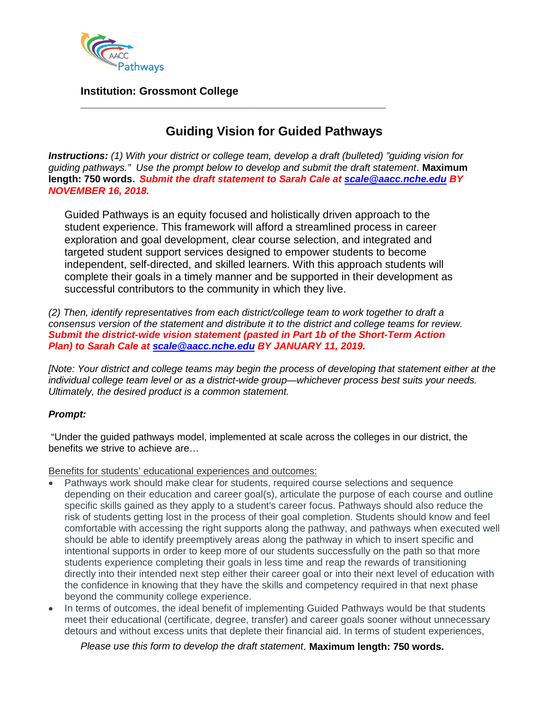

## **Institution: Grossmont College**

# **Guiding Vision for Guided Pathways**

*Instructions: (1) With your district or college team, develop a draft (bulleted) "guiding vision for guiding pathways." Use the prompt below to develop and submit the draft statement*. **Maximum length: 750 words.** *Submit the draft statement to Sarah Cale at [scale@aacc.nche.edu](mailto:scale@aacc.nche.edu) BY NOVEMBER 16, 2018.*

**\_\_\_\_\_\_\_\_\_\_\_\_\_\_\_\_\_\_\_\_\_\_\_\_\_\_\_\_\_\_\_\_\_\_\_\_\_\_\_\_\_\_\_\_\_\_\_\_\_\_\_**

Guided Pathways is an equity focused and holistically driven approach to the student experience. This framework will afford a streamlined process in career exploration and goal development, clear course selection, and integrated and targeted student support services designed to empower students to become independent, self-directed, and skilled learners. With this approach students will complete their goals in a timely manner and be supported in their development as successful contributors to the community in which they live.

*(2) Then, identify representatives from each district/college team to work together to draft a consensus version of the statement and distribute it to the district and college teams for review. Submit the district-wide vision statement (pasted in Part 1b of the Short-Term Action Plan) to Sarah Cale at [scale@aacc.nche.edu](mailto:scale@aacc.nche.edu) BY JANUARY 11, 2019.*

*[Note: Your district and college teams may begin the process of developing that statement either at the individual college team level or as a district-wide group—whichever process best suits your needs. Ultimately, the desired product is a common statement.*

### *Prompt:*

"Under the guided pathways model, implemented at scale across the colleges in our district, the benefits we strive to achieve are…

Benefits for students' educational experiences and outcomes:

- Pathways work should make clear for students, required course selections and sequence depending on their education and career goal(s), articulate the purpose of each course and outline specific skills gained as they apply to a student's career focus. Pathways should also reduce the risk of students getting lost in the process of their goal completion. Students should know and feel comfortable with accessing the right supports along the pathway, and pathways when executed well should be able to identify preemptively areas along the pathway in which to insert specific and intentional supports in order to keep more of our students successfully on the path so that more students experience completing their goals in less time and reap the rewards of transitioning directly into their intended next step either their career goal or into their next level of education with the confidence in knowing that they have the skills and competency required in that next phase beyond the community college experience.
- In terms of outcomes, the ideal benefit of implementing Guided Pathways would be that students meet their educational (certificate, degree, transfer) and career goals sooner without unnecessary detours and without excess units that deplete their financial aid. In terms of student experiences,

*Please use this form to develop the draft statement*. **Maximum length: 750 words.**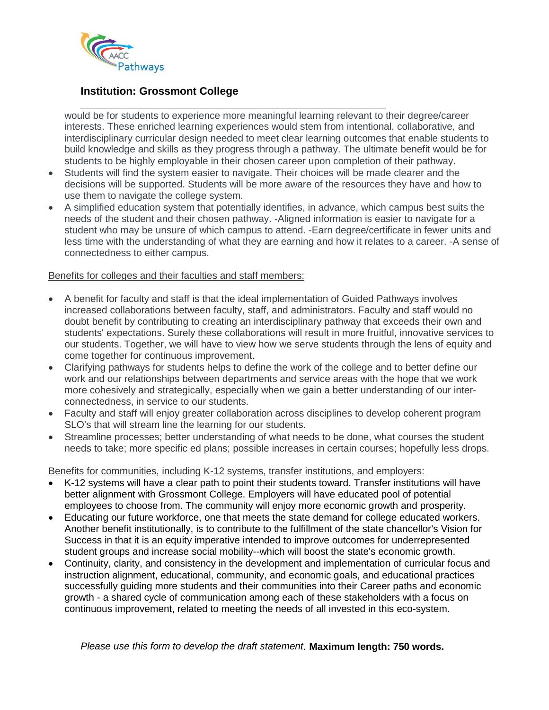

## **Institution: Grossmont College**

**\_\_\_\_\_\_\_\_\_\_\_\_\_\_\_\_\_\_\_\_\_\_\_\_\_\_\_\_\_\_\_\_\_\_\_\_\_\_\_\_\_\_\_\_\_\_\_\_\_\_\_** would be for students to experience more meaningful learning relevant to their degree/career interests. These enriched learning experiences would stem from intentional, collaborative, and interdisciplinary curricular design needed to meet clear learning outcomes that enable students to build knowledge and skills as they progress through a pathway. The ultimate benefit would be for students to be highly employable in their chosen career upon completion of their pathway.

- Students will find the system easier to navigate. Their choices will be made clearer and the decisions will be supported. Students will be more aware of the resources they have and how to use them to navigate the college system.
- A simplified education system that potentially identifies, in advance, which campus best suits the needs of the student and their chosen pathway. -Aligned information is easier to navigate for a student who may be unsure of which campus to attend. -Earn degree/certificate in fewer units and less time with the understanding of what they are earning and how it relates to a career. -A sense of connectedness to either campus.

#### Benefits for colleges and their faculties and staff members:

- A benefit for faculty and staff is that the ideal implementation of Guided Pathways involves increased collaborations between faculty, staff, and administrators. Faculty and staff would no doubt benefit by contributing to creating an interdisciplinary pathway that exceeds their own and students' expectations. Surely these collaborations will result in more fruitful, innovative services to our students. Together, we will have to view how we serve students through the lens of equity and come together for continuous improvement.
- Clarifying pathways for students helps to define the work of the college and to better define our work and our relationships between departments and service areas with the hope that we work more cohesively and strategically, especially when we gain a better understanding of our interconnectedness, in service to our students.
- Faculty and staff will enjoy greater collaboration across disciplines to develop coherent program SLO's that will stream line the learning for our students.
- Streamline processes; better understanding of what needs to be done, what courses the student needs to take; more specific ed plans; possible increases in certain courses; hopefully less drops.

Benefits for communities, including K-12 systems, transfer institutions, and employers:

- K-12 systems will have a clear path to point their students toward. Transfer institutions will have better alignment with Grossmont College. Employers will have educated pool of potential employees to choose from. The community will enjoy more economic growth and prosperity.
- Educating our future workforce, one that meets the state demand for college educated workers. Another benefit institutionally, is to contribute to the fulfillment of the state chancellor's Vision for Success in that it is an equity imperative intended to improve outcomes for underrepresented student groups and increase social mobility--which will boost the state's economic growth.
- Continuity, clarity, and consistency in the development and implementation of curricular focus and instruction alignment, educational, community, and economic goals, and educational practices successfully guiding more students and their communities into their Career paths and economic growth - a shared cycle of communication among each of these stakeholders with a focus on continuous improvement, related to meeting the needs of all invested in this eco-system.

*Please use this form to develop the draft statement*. **Maximum length: 750 words.**